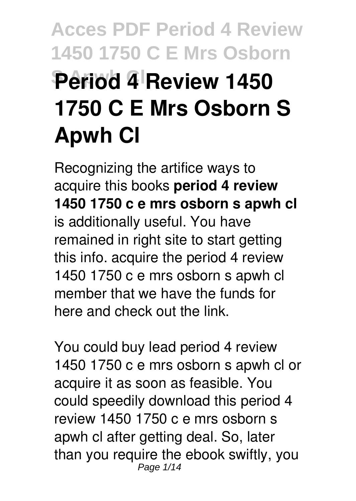# **Acces PDF Period 4 Review 1450 1750 C E Mrs Osborn Period 4 Review 1450 1750 C E Mrs Osborn S Apwh Cl**

Recognizing the artifice ways to acquire this books **period 4 review 1450 1750 c e mrs osborn s apwh cl** is additionally useful. You have remained in right site to start getting this info. acquire the period 4 review 1450 1750 c e mrs osborn s apwh cl member that we have the funds for here and check out the link.

You could buy lead period 4 review 1450 1750 c e mrs osborn s apwh cl or acquire it as soon as feasible. You could speedily download this period 4 review 1450 1750 c e mrs osborn s apwh cl after getting deal. So, later than you require the ebook swiftly, you Page 1/14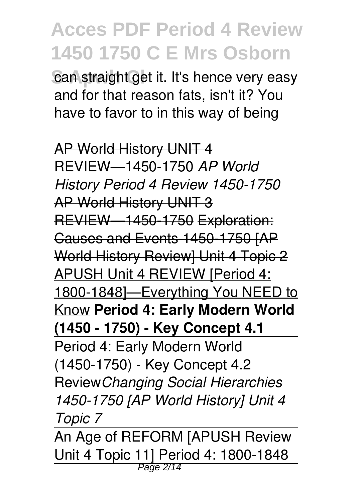can straight get it. It's hence very easy and for that reason fats, isn't it? You have to favor to in this way of being

AP World History UNIT 4 REVIEW—1450-1750 *AP World History Period 4 Review 1450-1750* AP World History UNIT 3 REVIEW—1450-1750 Exploration: Causes and Events 1450-1750 [AP World History Review] Unit 4 Topic 2 APUSH Unit 4 REVIEW [Period 4: 1800-1848]—Everything You NEED to Know **Period 4: Early Modern World (1450 - 1750) - Key Concept 4.1** Period 4: Early Modern World (1450-1750) - Key Concept 4.2 Review*Changing Social Hierarchies 1450-1750 [AP World History] Unit 4 Topic 7*

An Age of REFORM [APUSH Review Unit 4 Topic 11] Period 4: 1800-1848 Page 2/14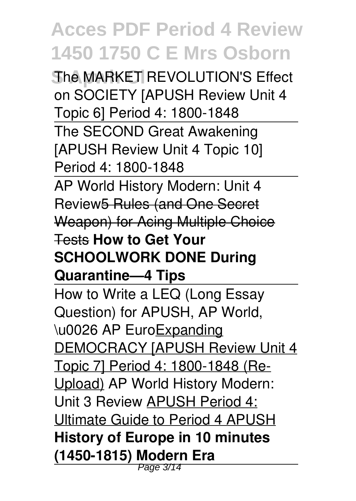*She MARKET REVOLUTION'S Effect* on SOCIETY [APUSH Review Unit 4 Topic 6] Period 4: 1800-1848 The SECOND Great Awakening [APUSH Review Unit 4 Topic 10] Period 4: 1800-1848 AP World History Modern: Unit 4 Review5 Rules (and One Secret Weapon) for Acing Multiple Choice Tests **How to Get Your SCHOOLWORK DONE During Quarantine—4 Tips** How to Write a LEQ (Long Essay Question) for APUSH, AP World, \u0026 AP EuroExpanding DEMOCRACY [APUSH Review Unit 4 Topic 7] Period 4: 1800-1848 (Re-Upload) AP World History Modern: Unit 3 Review APUSH Period 4: Ultimate Guide to Period 4 APUSH **History of Europe in 10 minutes (1450-1815) Modern Era** Page 3/14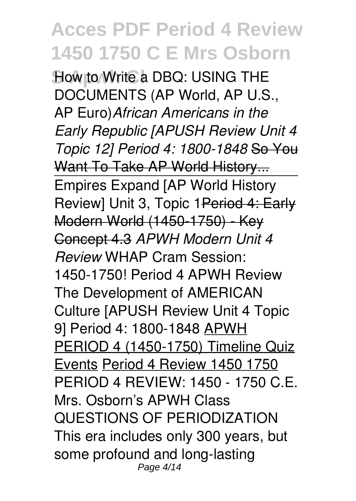**How to Write a DBQ: USING THE** DOCUMENTS (AP World, AP U.S., AP Euro)*African Americans in the Early Republic [APUSH Review Unit 4 Topic 12] Period 4: 1800-1848* So You Want To Take AP World History... Empires Expand [AP World History Review] Unit 3, Topic 1Period 4: Early Modern World (1450-1750) - Key Concept 4.3 *APWH Modern Unit 4 Review* WHAP Cram Session: 1450-1750! Period 4 APWH Review The Development of AMERICAN Culture [APUSH Review Unit 4 Topic 9] Period 4: 1800-1848 APWH PERIOD 4 (1450-1750) Timeline Quiz Events Period 4 Review 1450 1750 PERIOD 4 REVIEW: 1450 - 1750 C.E. Mrs. Osborn's APWH Class QUESTIONS OF PERIODIZATION This era includes only 300 years, but some profound and long-lasting Page 4/14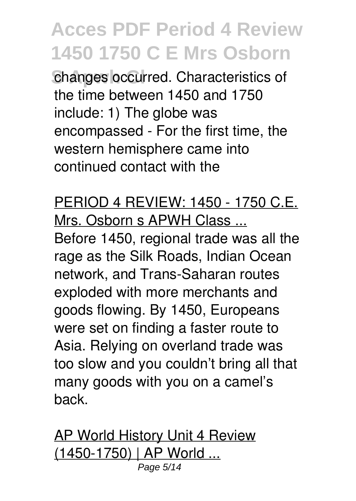changes occurred. Characteristics of the time between 1450 and 1750 include: 1) The globe was encompassed - For the first time, the western hemisphere came into continued contact with the

PERIOD 4 REVIEW: 1450 - 1750 C.E. Mrs. Osborn s APWH Class ...

Before 1450, regional trade was all the rage as the Silk Roads, Indian Ocean network, and Trans-Saharan routes exploded with more merchants and goods flowing. By 1450, Europeans were set on finding a faster route to Asia. Relying on overland trade was too slow and you couldn't bring all that many goods with you on a camel's back.

**AP World History Unit 4 Review** (1450-1750) | AP World ... Page 5/14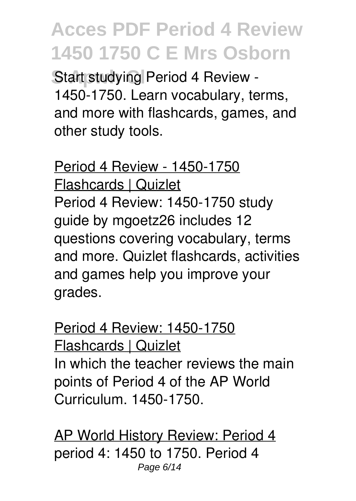**Start studying Period 4 Review -**1450-1750. Learn vocabulary, terms, and more with flashcards, games, and other study tools.

Period 4 Review - 1450-1750 Flashcards | Quizlet Period 4 Review: 1450-1750 study guide by mgoetz26 includes 12 questions covering vocabulary, terms and more. Quizlet flashcards, activities and games help you improve your grades.

Period 4 Review: 1450-1750 Flashcards | Quizlet In which the teacher reviews the main points of Period 4 of the AP World Curriculum. 1450-1750.

AP World History Review: Period 4 period 4: 1450 to 1750. Period 4 Page 6/14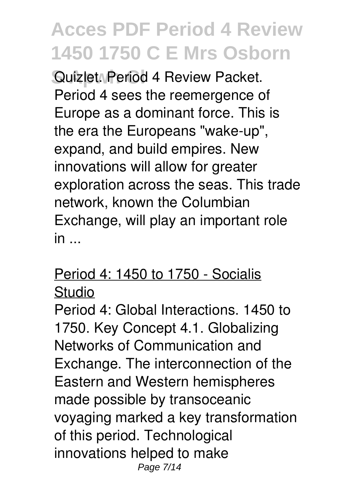**Suizlet. Period 4 Review Packet.** Period 4 sees the reemergence of Europe as a dominant force. This is the era the Europeans "wake-up", expand, and build empires. New innovations will allow for greater exploration across the seas. This trade network, known the Columbian Exchange, will play an important role  $in$ ...

#### Period 4: 1450 to 1750 - Socialis Studio

Period 4: Global Interactions. 1450 to 1750. Key Concept 4.1. Globalizing Networks of Communication and Exchange. The interconnection of the Eastern and Western hemispheres made possible by transoceanic voyaging marked a key transformation of this period. Technological innovations helped to make Page 7/14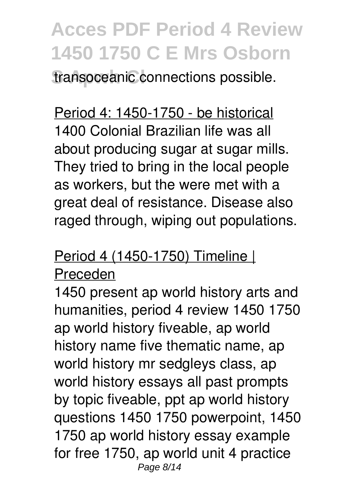**transoceanic connections possible.** 

Period 4: 1450-1750 - be historical 1400 Colonial Brazilian life was all about producing sugar at sugar mills. They tried to bring in the local people as workers, but the were met with a great deal of resistance. Disease also raged through, wiping out populations.

### Period 4 (1450-1750) Timeline |

#### Preceden

1450 present ap world history arts and humanities, period 4 review 1450 1750 ap world history fiveable, ap world history name five thematic name, ap world history mr sedgleys class, ap world history essays all past prompts by topic fiveable, ppt ap world history questions 1450 1750 powerpoint, 1450 1750 ap world history essay example for free 1750, ap world unit 4 practice Page 8/14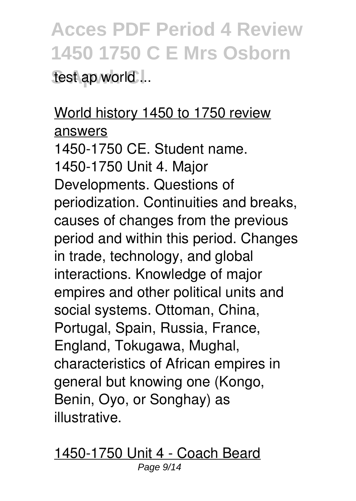### **Acces PDF Period 4 Review 1450 1750 C E Mrs Osborn** test ap world ...

### World history 1450 to 1750 review answers

1450-1750 CE. Student name. 1450-1750 Unit 4. Major Developments. Questions of periodization. Continuities and breaks, causes of changes from the previous period and within this period. Changes in trade, technology, and global interactions. Knowledge of major empires and other political units and social systems. Ottoman, China, Portugal, Spain, Russia, France, England, Tokugawa, Mughal, characteristics of African empires in general but knowing one (Kongo, Benin, Oyo, or Songhay) as illustrative.

1450-1750 Unit 4 - Coach Beard Page 9/14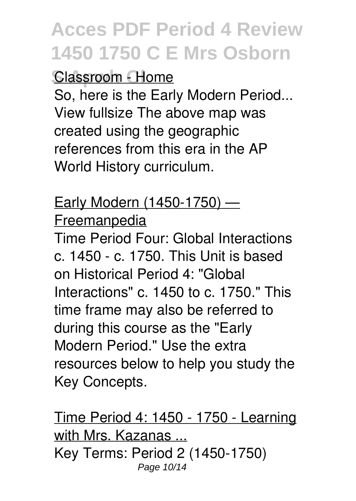#### **Classroom - Home**

So, here is the Early Modern Period... View fullsize The above map was created using the geographic references from this era in the AP World History curriculum.

### Early Modern (1450-1750) — Freemanpedia

Time Period Four: Global Interactions c. 1450 - c. 1750. This Unit is based on Historical Period 4: "Global Interactions" c. 1450 to c. 1750." This time frame may also be referred to during this course as the "Early Modern Period." Use the extra resources below to help you study the Key Concepts.

Time Period 4: 1450 - 1750 - Learning with Mrs. Kazanas ... Key Terms: Period 2 (1450-1750) Page 10/14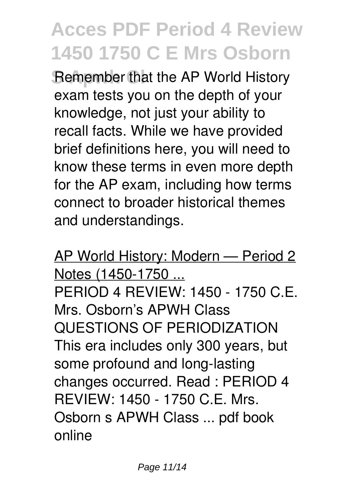**Remember that the AP World History** exam tests you on the depth of your knowledge, not just your ability to recall facts. While we have provided brief definitions here, you will need to know these terms in even more depth for the AP exam, including how terms connect to broader historical themes and understandings.

AP World History: Modern — Period 2 Notes (1450-1750 ... PERIOD 4 REVIEW: 1450 - 1750 C.E. Mrs. Osborn's APWH Class QUESTIONS OF PERIODIZATION This era includes only 300 years, but some profound and long-lasting changes occurred. Read : PERIOD 4 REVIEW: 1450 - 1750 C.E. Mrs. Osborn s APWH Class ... pdf book online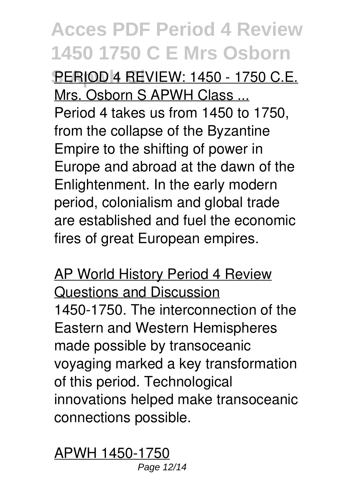**S Apwh Cl** PERIOD 4 REVIEW: 1450 - 1750 C.E. Mrs. Osborn S APWH Class ... Period 4 takes us from 1450 to 1750, from the collapse of the Byzantine Empire to the shifting of power in Europe and abroad at the dawn of the Enlightenment. In the early modern period, colonialism and global trade are established and fuel the economic fires of great European empires.

AP World History Period 4 Review Questions and Discussion 1450-1750. The interconnection of the Eastern and Western Hemispheres made possible by transoceanic voyaging marked a key transformation of this period. Technological innovations helped make transoceanic connections possible.

APWH 1450-1750 Page 12/14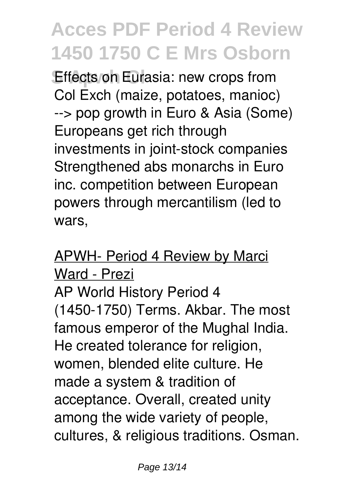**Effects on Eurasia: new crops from** Col Exch (maize, potatoes, manioc) --> pop growth in Euro & Asia (Some) Europeans get rich through investments in joint-stock companies Strengthened abs monarchs in Euro inc. competition between European powers through mercantilism (led to wars,

APWH- Period 4 Review by Marci Ward - Prezi AP World History Period 4 (1450-1750) Terms. Akbar. The most famous emperor of the Mughal India. He created tolerance for religion, women, blended elite culture. He made a system & tradition of acceptance. Overall, created unity among the wide variety of people, cultures, & religious traditions. Osman.